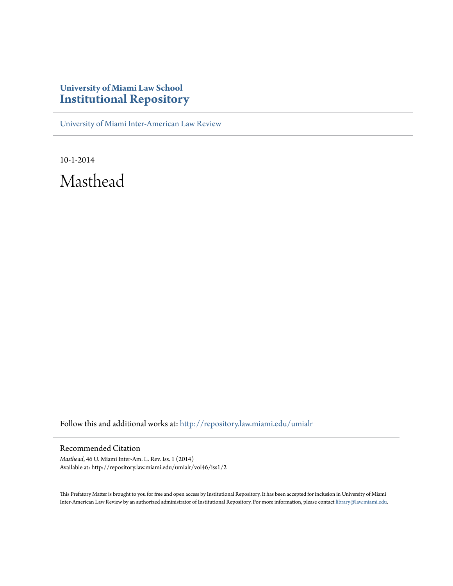## **University of Miami Law School [Institutional Repository](http://repository.law.miami.edu?utm_source=repository.law.miami.edu%2Fumialr%2Fvol46%2Fiss1%2F2&utm_medium=PDF&utm_campaign=PDFCoverPages)**

[University of Miami Inter-American Law Review](http://repository.law.miami.edu/umialr?utm_source=repository.law.miami.edu%2Fumialr%2Fvol46%2Fiss1%2F2&utm_medium=PDF&utm_campaign=PDFCoverPages)

10-1-2014 Masthead

Follow this and additional works at: [http://repository.law.miami.edu/umialr](http://repository.law.miami.edu/umialr?utm_source=repository.law.miami.edu%2Fumialr%2Fvol46%2Fiss1%2F2&utm_medium=PDF&utm_campaign=PDFCoverPages)

## Recommended Citation

*Masthead*, 46 U. Miami Inter-Am. L. Rev. Iss. 1 (2014) Available at: http://repository.law.miami.edu/umialr/vol46/iss1/2

This Prefatory Matter is brought to you for free and open access by Institutional Repository. It has been accepted for inclusion in University of Miami Inter-American Law Review by an authorized administrator of Institutional Repository. For more information, please contact [library@law.miami.edu](mailto:library@law.miami.edu).